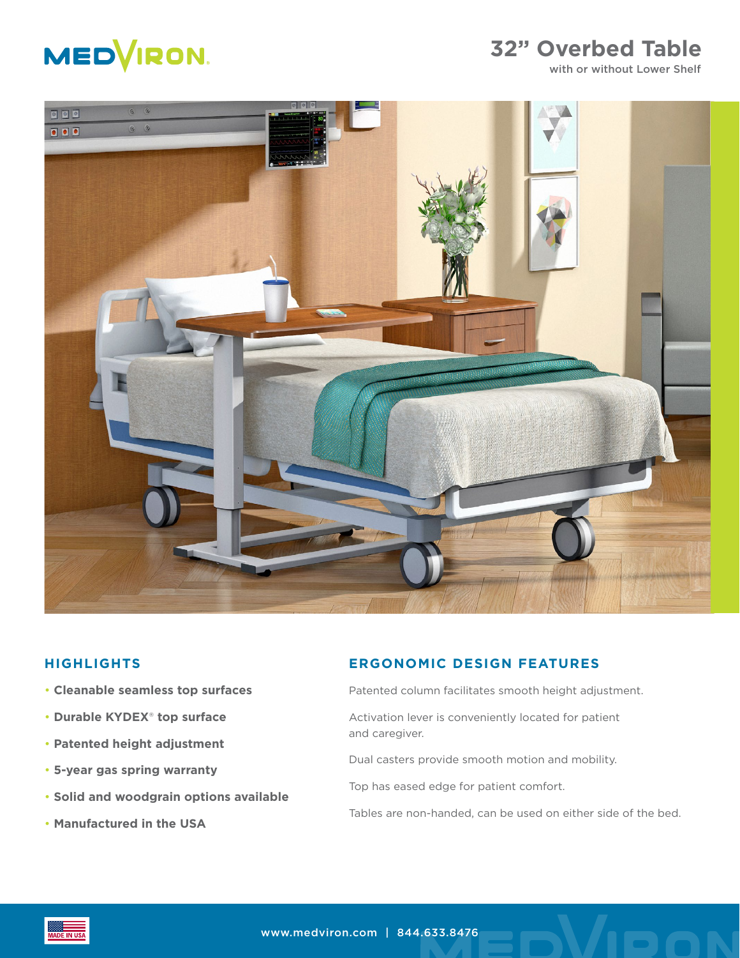

## **32" Overbed Table**

with or without Lower Shelf



#### **HIGHLIGHTS**

- **Cleanable seamless top surfaces**
- **Durable KYDEX**® **top surface**
- **Patented height adjustment**
- **5-year gas spring warranty**
- **Solid and woodgrain options available**
- **Manufactured in the USA**

#### **ERGONOMIC DESIGN FEATURES**

- Patented column facilitates smooth height adjustment.
- Activation lever is conveniently located for patient and caregiver.
- Dual casters provide smooth motion and mobility.
- Top has eased edge for patient comfort.
- Tables are non-handed, can be used on either side of the bed.